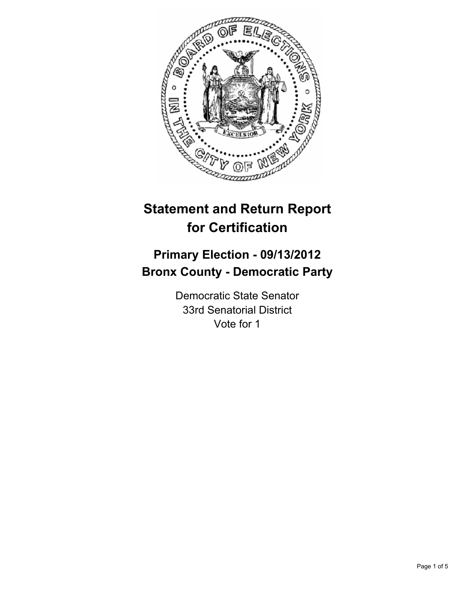

# **Statement and Return Report for Certification**

# **Primary Election - 09/13/2012 Bronx County - Democratic Party**

Democratic State Senator 33rd Senatorial District Vote for 1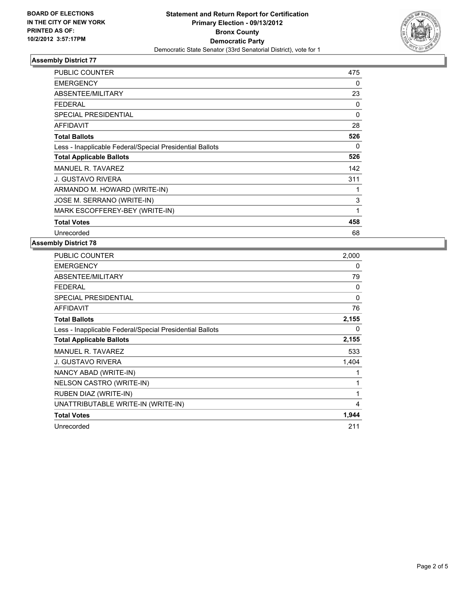

## **Assembly District 77**

| <b>PUBLIC COUNTER</b>                                    | 475          |
|----------------------------------------------------------|--------------|
| <b>EMERGENCY</b>                                         | 0            |
| ABSENTEE/MILITARY                                        | 23           |
| <b>FEDERAL</b>                                           | 0            |
| <b>SPECIAL PRESIDENTIAL</b>                              | $\Omega$     |
| <b>AFFIDAVIT</b>                                         | 28           |
| <b>Total Ballots</b>                                     | 526          |
| Less - Inapplicable Federal/Special Presidential Ballots | 0            |
| <b>Total Applicable Ballots</b>                          | 526          |
| <b>MANUEL R. TAVAREZ</b>                                 | 142          |
| <b>J. GUSTAVO RIVERA</b>                                 | 311          |
| ARMANDO M. HOWARD (WRITE-IN)                             | 1            |
| JOSE M. SERRANO (WRITE-IN)                               | 3            |
| MARK ESCOFFEREY-BEY (WRITE-IN)                           | $\mathbf{1}$ |
| <b>Total Votes</b>                                       | 458          |
| Unrecorded                                               | 68           |

#### **Assembly District 78**

| <b>PUBLIC COUNTER</b>                                    | 2,000        |
|----------------------------------------------------------|--------------|
| <b>EMERGENCY</b>                                         | 0            |
| ABSENTEE/MILITARY                                        | 79           |
| <b>FEDERAL</b>                                           | 0            |
| <b>SPECIAL PRESIDENTIAL</b>                              | $\mathbf{0}$ |
| <b>AFFIDAVIT</b>                                         | 76           |
| <b>Total Ballots</b>                                     | 2,155        |
| Less - Inapplicable Federal/Special Presidential Ballots | 0            |
| <b>Total Applicable Ballots</b>                          | 2,155        |
| MANUEL R. TAVAREZ                                        | 533          |
| J. GUSTAVO RIVERA                                        | 1,404        |
| NANCY ABAD (WRITE-IN)                                    | 1            |
| NELSON CASTRO (WRITE-IN)                                 | 1            |
| RUBEN DIAZ (WRITE-IN)                                    | 1            |
| UNATTRIBUTABLE WRITE-IN (WRITE-IN)                       | 4            |
| <b>Total Votes</b>                                       | 1,944        |
| Unrecorded                                               | 211          |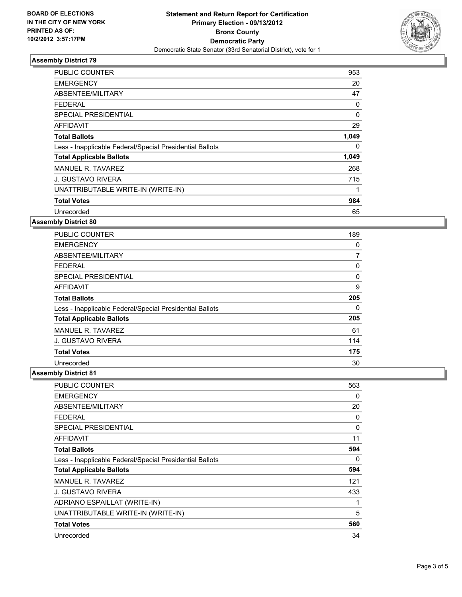

## **Assembly District 79**

| <b>PUBLIC COUNTER</b>                                    | 953      |
|----------------------------------------------------------|----------|
| <b>EMERGENCY</b>                                         | 20       |
| ABSENTEE/MILITARY                                        | 47       |
| <b>FEDERAL</b>                                           | 0        |
| SPECIAL PRESIDENTIAL                                     | $\Omega$ |
| AFFIDAVIT                                                | 29       |
| <b>Total Ballots</b>                                     | 1,049    |
| Less - Inapplicable Federal/Special Presidential Ballots | 0        |
| <b>Total Applicable Ballots</b>                          | 1,049    |
| MANUEL R. TAVAREZ                                        | 268      |
| <b>J. GUSTAVO RIVERA</b>                                 | 715      |
| UNATTRIBUTABLE WRITE-IN (WRITE-IN)                       |          |
| <b>Total Votes</b>                                       | 984      |
| Unrecorded                                               | 65       |

## **Assembly District 80**

| <b>PUBLIC COUNTER</b>                                    | 189 |
|----------------------------------------------------------|-----|
| <b>EMERGENCY</b>                                         | 0   |
| ABSENTEE/MILITARY                                        | 7   |
| <b>FEDERAL</b>                                           | 0   |
| SPECIAL PRESIDENTIAL                                     | 0   |
| AFFIDAVIT                                                | 9   |
| <b>Total Ballots</b>                                     | 205 |
| Less - Inapplicable Federal/Special Presidential Ballots | 0   |
| <b>Total Applicable Ballots</b>                          | 205 |
| MANUEL R. TAVAREZ                                        | 61  |
| J. GUSTAVO RIVERA                                        | 114 |
| <b>Total Votes</b>                                       | 175 |
| Unrecorded                                               | 30  |

## **Assembly District 81**

| <b>PUBLIC COUNTER</b>                                    | 563 |
|----------------------------------------------------------|-----|
| <b>EMERGENCY</b>                                         | 0   |
| ABSENTEE/MILITARY                                        | 20  |
| <b>FEDERAL</b>                                           | 0   |
| <b>SPECIAL PRESIDENTIAL</b>                              | 0   |
| AFFIDAVIT                                                | 11  |
| <b>Total Ballots</b>                                     | 594 |
| Less - Inapplicable Federal/Special Presidential Ballots | 0   |
| <b>Total Applicable Ballots</b>                          | 594 |
| MANUEL R. TAVAREZ                                        | 121 |
| J. GUSTAVO RIVERA                                        | 433 |
| ADRIANO ESPAILLAT (WRITE-IN)                             | 1   |
| UNATTRIBUTABLE WRITE-IN (WRITE-IN)                       | 5   |
| <b>Total Votes</b>                                       | 560 |
| Unrecorded                                               | 34  |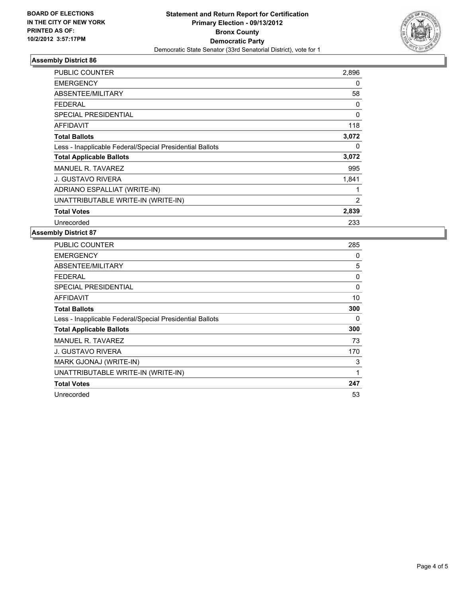

## **Assembly District 86**

| PUBLIC COUNTER                                           | 2,896          |
|----------------------------------------------------------|----------------|
| <b>EMERGENCY</b>                                         | 0              |
| ABSENTEE/MILITARY                                        | 58             |
| FEDERAL                                                  | 0              |
| <b>SPECIAL PRESIDENTIAL</b>                              | $\Omega$       |
| <b>AFFIDAVIT</b>                                         | 118            |
| <b>Total Ballots</b>                                     | 3,072          |
| Less - Inapplicable Federal/Special Presidential Ballots | 0              |
| <b>Total Applicable Ballots</b>                          | 3,072          |
| <b>MANUEL R. TAVAREZ</b>                                 | 995            |
| J. GUSTAVO RIVERA                                        | 1,841          |
| ADRIANO ESPALLIAT (WRITE-IN)                             | 1              |
| UNATTRIBUTABLE WRITE-IN (WRITE-IN)                       | $\overline{2}$ |
| <b>Total Votes</b>                                       | 2,839          |
| Unrecorded                                               | 233            |

#### **Assembly District 87**

| PUBLIC COUNTER                                           | 285      |
|----------------------------------------------------------|----------|
| <b>EMERGENCY</b>                                         | 0        |
| ABSENTEE/MILITARY                                        | 5        |
| <b>FEDERAL</b>                                           | 0        |
| <b>SPECIAL PRESIDENTIAL</b>                              | $\Omega$ |
| <b>AFFIDAVIT</b>                                         | 10       |
| <b>Total Ballots</b>                                     | 300      |
| Less - Inapplicable Federal/Special Presidential Ballots | 0        |
| <b>Total Applicable Ballots</b>                          | 300      |
| MANUEL R. TAVAREZ                                        | 73       |
| J. GUSTAVO RIVERA                                        | 170      |
| MARK GJONAJ (WRITE-IN)                                   | 3        |
| UNATTRIBUTABLE WRITE-IN (WRITE-IN)                       | 1        |
| <b>Total Votes</b>                                       | 247      |
| Unrecorded                                               | 53       |